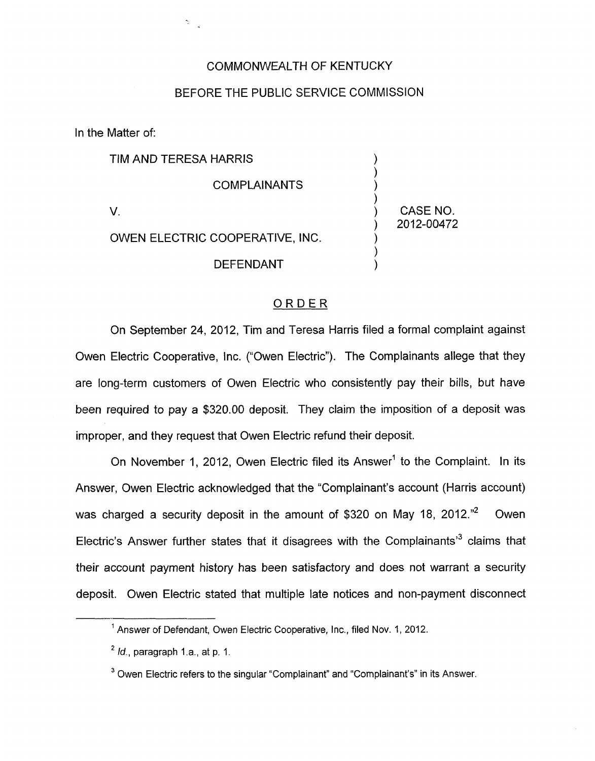## COMMONWEALTH **OF** KENTUCKY

## BEFORE THE PUBLIC SERVICE COMMISSION

In the Matter of:

 $\mathcal{D}^{(n)}$  .

| TIM AND TERESA HARRIS           |                        |
|---------------------------------|------------------------|
| <b>COMPLAINANTS</b>             |                        |
|                                 | CASE NO.<br>2012-00472 |
| OWEN ELECTRIC COOPERATIVE, INC. |                        |
| DEFENDANT                       |                        |

## ORDER

On September 24, 2012, Tim and Teresa Harris filed a formal complaint against Owen Electric Cooperative, Inc. ("Owen Electric"). The Complainants allege that they are long-term customers of Owen Electric who consistently pay their bills, but have been required to pay a \$320.00 deposit. They claim the imposition of a deposit was improper, and they request that Owen Electric refund their deposit.

On November 1, 2012, Owen Electric filed its Answer' to the Complaint. In its Answer, Owen Electric acknowledged that the "Complainant's account (Harris account) was charged a security deposit in the amount of \$320 on May 18, 2012."<sup>2</sup> Owen Electric's Answer further states that it disagrees with the Complainants<sup>3</sup> claims that their account payment history has been satisfactory and does not warrant a security deposit. Owen Electric stated that multiple late notices and non-payment disconnect

<sup>&</sup>lt;sup>1</sup> Answer of Defendant, Owen Electric Cooperative, Inc., filed Nov. 1, 2012.

*Id.,* paragraph l.a., at **p.** 1. **2** 

<sup>&</sup>lt;sup>3</sup> Owen Electric refers to the singular "Complainant" and "Complainant's" in its Answer.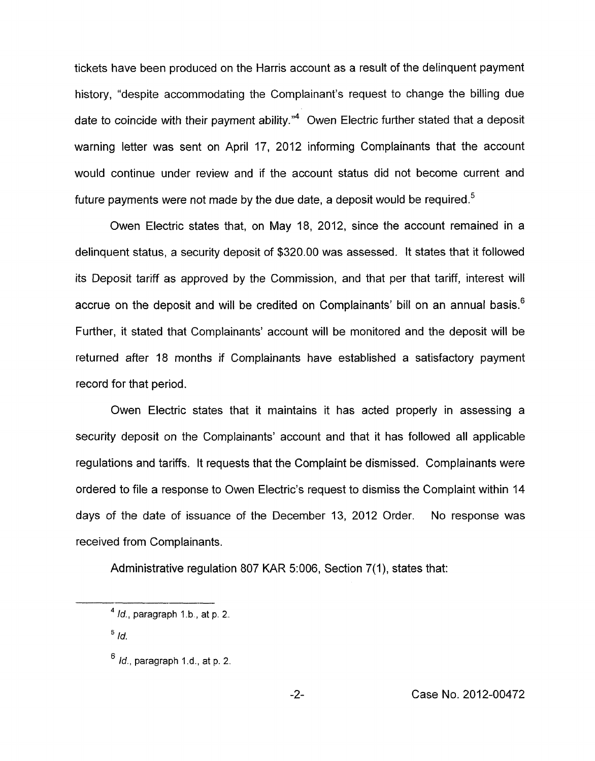tickets have been produced on the Harris account as a result of the delinquent payment history, "despite accommodating the Complainant's request to change the billing due date to coincide with their payment ability." $4$  Owen Electric further stated that a deposit warning letter was sent on April 17, 2012 informing Complainants that the account would continue under review and if the account status did not become current and future payments were not made by the due date, a deposit would be required.<sup>5</sup>

Owen Electric states that, on May 18, 2012, since the account remained in a delinquent status, a security deposit of \$320.00 was assessed. It states that it followed its Deposit tariff as approved by the Commission, and that per that tariff, interest will accrue on the deposit and will be credited on Complainants' bill on an annual basis.<sup>6</sup> Further, it stated that Complainants' account will be monitored and the deposit will be returned after 18 months if Complainants have established a satisfactory payment record for that period.

Owen Electric states that it maintains it has acted properly in assessing a security deposit on the Complainants' account and that it has followed all applicable regulations and tariffs. It requests that the Complaint be dismissed. Complainants were ordered to file a response to Owen Electric's request to dismiss the Complaint within 14 days of the date of issuance of the December 13, 2012 Order. No response was received from Complainants.

Administrative regulation 807 KAR 5:006, Section 7(1), states that:

 $5/d.$ 

**<sup>4</sup>***Id.,* paragraph **1.b** , at p. 2.

<sup>&</sup>lt;sup>6</sup> *Id.*, paragraph 1.d., at p. 2.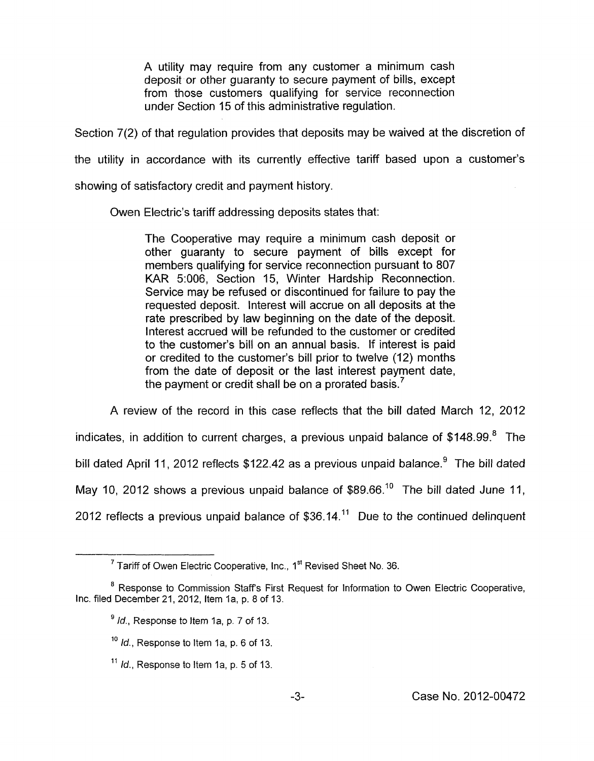A utility may require from any customer a minimum cash deposit or other guaranty to secure payment of bills, except from those customers qualifying for service reconnection under Section 15 of this administrative regulation.

Section 7(2) of that regulation provides that deposits may be waived at the discretion of

the utility in accordance with its currently effective tariff based upon a customer's

showing of satisfactory credit and payment history.

Owen Electric's tariff addressing deposits states that:

The Cooperative may require a minimum cash deposit or other guaranty to secure payment of bills except for members qualifying for service reconnection pursuant to 807 KAR 5:006, Section 15, Winter Hardship Reconnection. Service may be refused or discontinued for failure to pay the requested deposit. Interest will accrue on all deposits at the rate prescribed by law beginning on the date of the deposit. Interest accrued will be refunded to the customer or credited to the customer's bill on an annual basis. If interest is paid or credited to the customer's bill prior to twelve (12) months from the date of deposit or the last interest payment date, the payment or credit shall be on a prorated basis.<sup>7</sup>

A review of the record in this case reflects that the bill dated March 12, 2012 indicates, in addition to current charges, a previous unpaid balance of \$148.99.<sup>8</sup> The bill dated April 11, 2012 reflects  $$122.42$  as a previous unpaid balance.<sup>9</sup> The bill dated May 10, 2012 shows a previous unpaid balance of  $$89.66$ <sup>10</sup> The bill dated June 11, 2012 reflects a previous unpaid balance of \$36.14.<sup>11</sup> Due to the continued delinguent

<sup>&</sup>lt;sup>7</sup> Tariff of Owen Electric Cooperative, Inc., 1<sup>st</sup> Revised Sheet No. 36.

<sup>&</sup>lt;sup>8</sup> Response to Commission Staff's First Request for Information to Owen Electric Cooperative, Inc. filed December 21, 2012, Item la, **p.** 8 of 13.

<sup>&</sup>lt;sup>9</sup> Id., Response to Item 1a, p. 7 of 13.

*Id.,* Response to Item la, p. 6 of 13. **10** 

*Id.,* Response to Item la, p. 5 of 13. **11**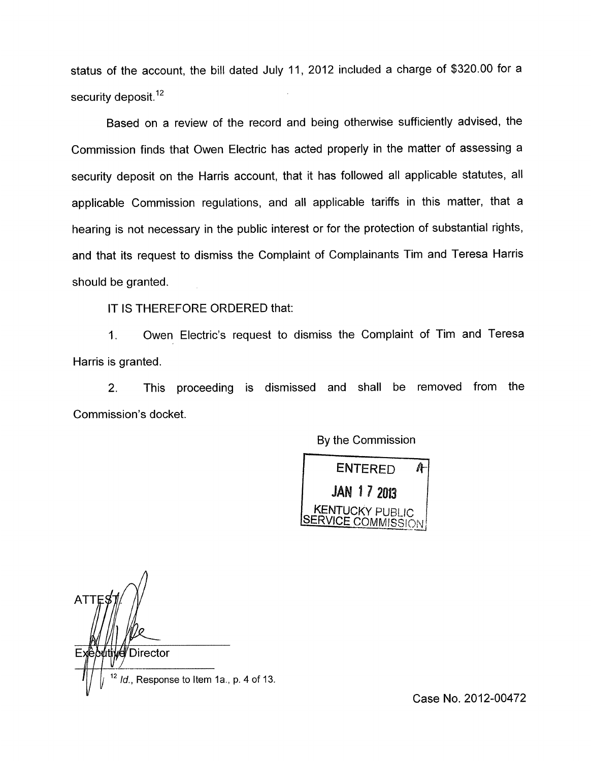status of the account, the bill dated July 11, 2012 included a charge of \$320.00 for a security deposit. $12$ 

Based on a review of the record and being otherwise sufficiently advised, the Commission finds that Owen Electric has acted properly in the matter of assessing a security deposit on the Harris account, that it has followed all applicable statutes, all applicable Commission regulations, and all applicable tariffs in this matter, that a hearing is not necessary in the public interest or for the protection of substantial rights, and that its request to dismiss the Complaint of Complainants Tim and Teresa Harris should be granted.

IT IS THEREFORE ORDERED that:

1. Owen Electric's request to dismiss the Complaint of Tim and Teresa Harris is granted.

2. This proceeding is dismissed and shall be removed from the Commission's docket.

By the Commission



 $\sim$ *A* **ATT** Executive Director<br> $\frac{1}{\sqrt{1-\frac{12}{a}}}\frac{1}{a}$ , Response to Item 1a., p. 4 of 13.

Case No. 2012-00472